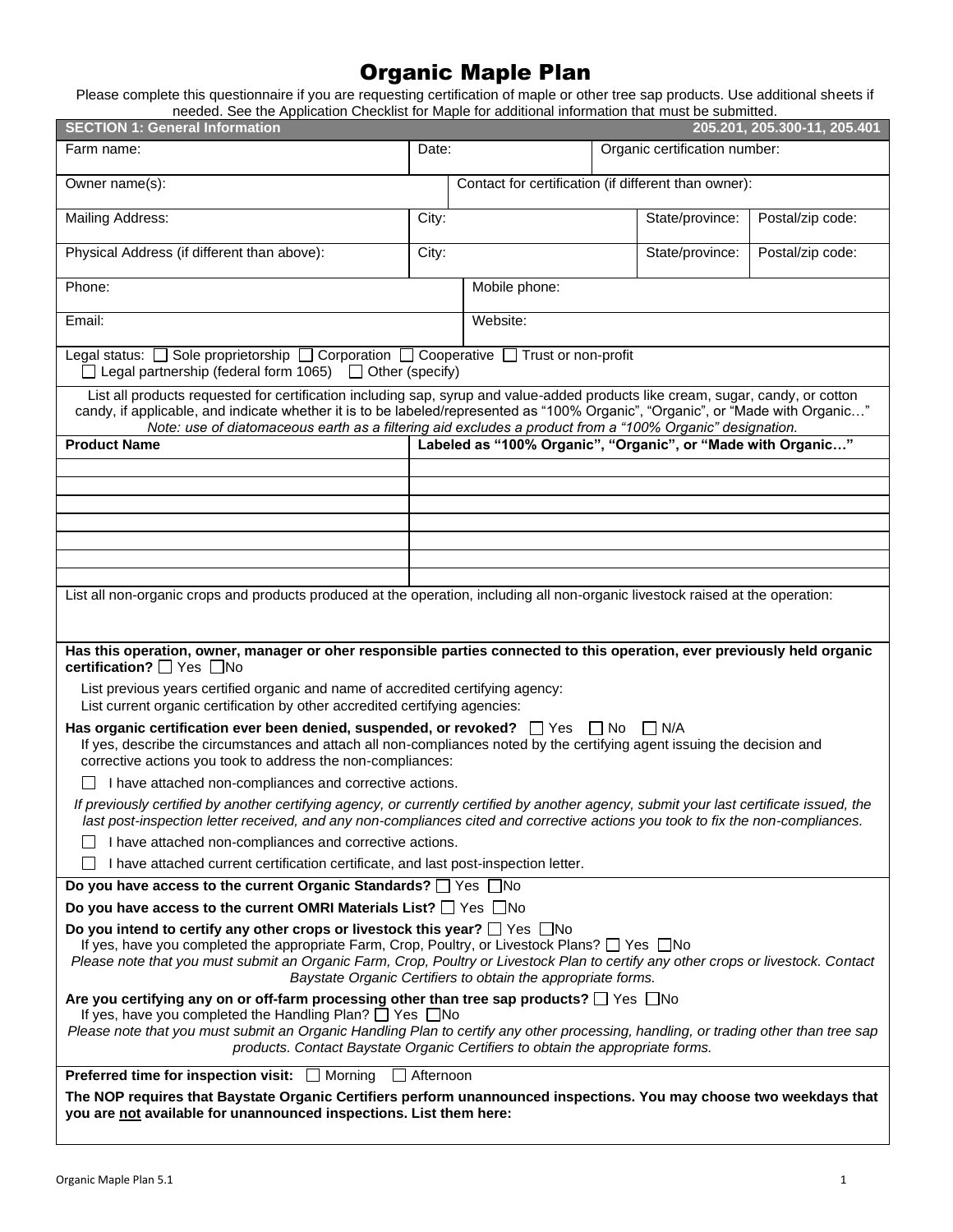# Organic Maple Plan

Please complete this questionnaire if you are requesting certification of maple or other tree sap products. Use additional sheets if needed. See the Application Checklist for Maple for additional information that must be submitted.

| <u>Heeded. Oce the Application Onecklist for Maple for additional implifiation that must be submitted.</u><br><b>SECTION 1: General Information</b>                                                                                                                                                                                                                                                     |                                                      |                                                              |                               |                 | 205.201, 205.300-11, 205.401 |
|---------------------------------------------------------------------------------------------------------------------------------------------------------------------------------------------------------------------------------------------------------------------------------------------------------------------------------------------------------------------------------------------------------|------------------------------------------------------|--------------------------------------------------------------|-------------------------------|-----------------|------------------------------|
| Farm name:                                                                                                                                                                                                                                                                                                                                                                                              | Date:                                                |                                                              | Organic certification number: |                 |                              |
| Owner name(s):                                                                                                                                                                                                                                                                                                                                                                                          | Contact for certification (if different than owner): |                                                              |                               |                 |                              |
| <b>Mailing Address:</b>                                                                                                                                                                                                                                                                                                                                                                                 | City:                                                |                                                              |                               | State/province: | Postal/zip code:             |
| Physical Address (if different than above):                                                                                                                                                                                                                                                                                                                                                             | City:                                                |                                                              |                               | State/province: | Postal/zip code:             |
| Phone:                                                                                                                                                                                                                                                                                                                                                                                                  |                                                      | Mobile phone:                                                |                               |                 |                              |
| Email:                                                                                                                                                                                                                                                                                                                                                                                                  |                                                      | Website:                                                     |                               |                 |                              |
| Legal status: □ Sole proprietorship □ Corporation □ Cooperative □ Trust or non-profit<br>$\Box$ Legal partnership (federal form 1065) $\Box$ Other (specify)                                                                                                                                                                                                                                            |                                                      |                                                              |                               |                 |                              |
| List all products requested for certification including sap, syrup and value-added products like cream, sugar, candy, or cotton<br>candy, if applicable, and indicate whether it is to be labeled/represented as "100% Organic", "Organic", or "Made with Organic"<br>Note: use of diatomaceous earth as a filtering aid excludes a product from a "100% Organic" designation.                          |                                                      |                                                              |                               |                 |                              |
| <b>Product Name</b>                                                                                                                                                                                                                                                                                                                                                                                     |                                                      | Labeled as "100% Organic", "Organic", or "Made with Organic" |                               |                 |                              |
|                                                                                                                                                                                                                                                                                                                                                                                                         |                                                      |                                                              |                               |                 |                              |
|                                                                                                                                                                                                                                                                                                                                                                                                         |                                                      |                                                              |                               |                 |                              |
|                                                                                                                                                                                                                                                                                                                                                                                                         |                                                      |                                                              |                               |                 |                              |
|                                                                                                                                                                                                                                                                                                                                                                                                         |                                                      |                                                              |                               |                 |                              |
|                                                                                                                                                                                                                                                                                                                                                                                                         |                                                      |                                                              |                               |                 |                              |
| List all non-organic crops and products produced at the operation, including all non-organic livestock raised at the operation:                                                                                                                                                                                                                                                                         |                                                      |                                                              |                               |                 |                              |
| Has this operation, owner, manager or oher responsible parties connected to this operation, ever previously held organic<br>certification? $\Box$ Yes $\Box$ No                                                                                                                                                                                                                                         |                                                      |                                                              |                               |                 |                              |
| List previous years certified organic and name of accredited certifying agency:<br>List current organic certification by other accredited certifying agencies:                                                                                                                                                                                                                                          |                                                      |                                                              |                               |                 |                              |
| Has organic certification ever been denied, suspended, or revoked? $\Box$ Yes $\Box$ No<br>I N/A<br>If yes, describe the circumstances and attach all non-compliances noted by the certifying agent issuing the decision and<br>corrective actions you took to address the non-compliances:                                                                                                             |                                                      |                                                              |                               |                 |                              |
| I have attached non-compliances and corrective actions.                                                                                                                                                                                                                                                                                                                                                 |                                                      |                                                              |                               |                 |                              |
| If previously certified by another certifying agency, or currently certified by another agency, submit your last certificate issued, the<br>last post-inspection letter received, and any non-compliances cited and corrective actions you took to fix the non-compliances.                                                                                                                             |                                                      |                                                              |                               |                 |                              |
| I have attached non-compliances and corrective actions.                                                                                                                                                                                                                                                                                                                                                 |                                                      |                                                              |                               |                 |                              |
| I have attached current certification certificate, and last post-inspection letter.                                                                                                                                                                                                                                                                                                                     |                                                      |                                                              |                               |                 |                              |
| Do you have access to the current Organic Standards? □ Yes □No                                                                                                                                                                                                                                                                                                                                          |                                                      |                                                              |                               |                 |                              |
| Do you have access to the current OMRI Materials List? $\Box$ Yes $\Box$ No                                                                                                                                                                                                                                                                                                                             |                                                      |                                                              |                               |                 |                              |
| Do you intend to certify any other crops or livestock this year? $\Box$ Yes $\Box$ No<br>If yes, have you completed the appropriate Farm, Crop, Poultry, or Livestock Plans? $\Box$ Yes $\Box$ No<br>Please note that you must submit an Organic Farm, Crop, Poultry or Livestock Plan to certify any other crops or livestock. Contact<br>Baystate Organic Certifiers to obtain the appropriate forms. |                                                      |                                                              |                               |                 |                              |
| Are you certifying any on or off-farm processing other than tree sap products? □ Yes □ No<br>If yes, have you completed the Handling Plan? □ Yes □ No<br>Please note that you must submit an Organic Handling Plan to certify any other processing, handling, or trading other than tree sap<br>products. Contact Baystate Organic Certifiers to obtain the appropriate forms.                          |                                                      |                                                              |                               |                 |                              |
| <b>Preferred time for inspection visit:</b> □ Morning                                                                                                                                                                                                                                                                                                                                                   | Afternoon                                            |                                                              |                               |                 |                              |
| The NOP requires that Baystate Organic Certifiers perform unannounced inspections. You may choose two weekdays that<br>you are not available for unannounced inspections. List them here:                                                                                                                                                                                                               |                                                      |                                                              |                               |                 |                              |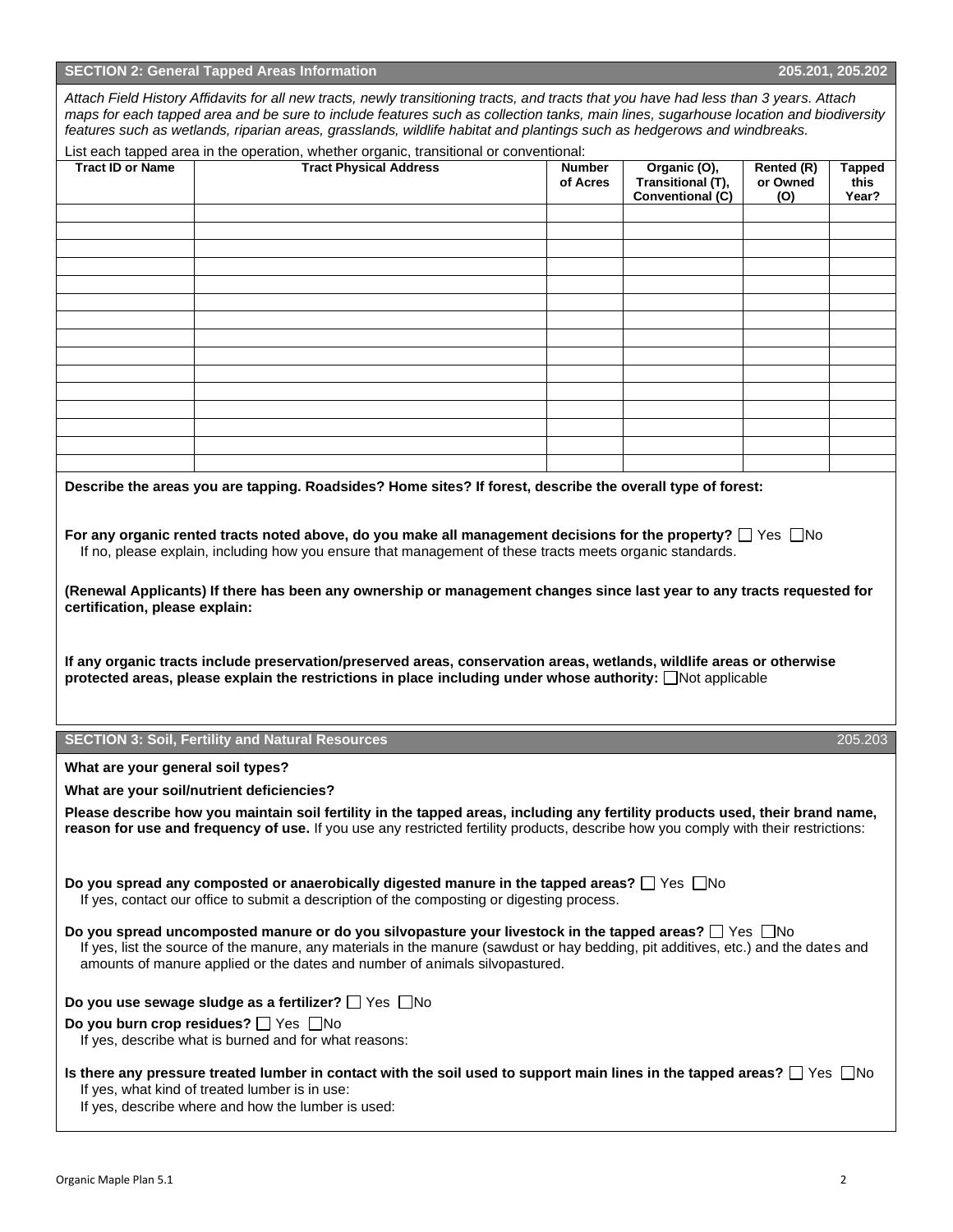|                                   | <b>SECTION 2: General Tapped Areas Information</b>                                                                                                                                                                                                                                                                                                                                                                                                                                                                                                                                                          |                           |                                                              |                               | 205.201, 205.202               |
|-----------------------------------|-------------------------------------------------------------------------------------------------------------------------------------------------------------------------------------------------------------------------------------------------------------------------------------------------------------------------------------------------------------------------------------------------------------------------------------------------------------------------------------------------------------------------------------------------------------------------------------------------------------|---------------------------|--------------------------------------------------------------|-------------------------------|--------------------------------|
|                                   | Attach Field History Affidavits for all new tracts, newly transitioning tracts, and tracts that you have had less than 3 years. Attach<br>maps for each tapped area and be sure to include features such as collection tanks, main lines, sugarhouse location and biodiversity<br>features such as wetlands, riparian areas, grasslands, wildlife habitat and plantings such as hedgerows and windbreaks.                                                                                                                                                                                                   |                           |                                                              |                               |                                |
| <b>Tract ID or Name</b>           | List each tapped area in the operation, whether organic, transitional or conventional:<br><b>Tract Physical Address</b>                                                                                                                                                                                                                                                                                                                                                                                                                                                                                     | <b>Number</b><br>of Acres | Organic (O),<br>Transitional (T),<br><b>Conventional (C)</b> | Rented (R)<br>or Owned<br>(O) | <b>Tapped</b><br>this<br>Year? |
|                                   |                                                                                                                                                                                                                                                                                                                                                                                                                                                                                                                                                                                                             |                           |                                                              |                               |                                |
|                                   |                                                                                                                                                                                                                                                                                                                                                                                                                                                                                                                                                                                                             |                           |                                                              |                               |                                |
|                                   |                                                                                                                                                                                                                                                                                                                                                                                                                                                                                                                                                                                                             |                           |                                                              |                               |                                |
|                                   |                                                                                                                                                                                                                                                                                                                                                                                                                                                                                                                                                                                                             |                           |                                                              |                               |                                |
|                                   |                                                                                                                                                                                                                                                                                                                                                                                                                                                                                                                                                                                                             |                           |                                                              |                               |                                |
|                                   |                                                                                                                                                                                                                                                                                                                                                                                                                                                                                                                                                                                                             |                           |                                                              |                               |                                |
|                                   |                                                                                                                                                                                                                                                                                                                                                                                                                                                                                                                                                                                                             |                           |                                                              |                               |                                |
| certification, please explain:    | For any organic rented tracts noted above, do you make all management decisions for the property? $\Box$ Yes $\;\Box$ No<br>If no, please explain, including how you ensure that management of these tracts meets organic standards.<br>(Renewal Applicants) If there has been any ownership or management changes since last year to any tracts requested for<br>If any organic tracts include preservation/preserved areas, conservation areas, wetlands, wildlife areas or otherwise<br>protected areas, please explain the restrictions in place including under whose authority: $\Box$ Not applicable |                           |                                                              |                               |                                |
|                                   | <b>SECTION 3: Soil, Fertility and Natural Resources</b>                                                                                                                                                                                                                                                                                                                                                                                                                                                                                                                                                     |                           |                                                              |                               | 205.203                        |
| What are your general soil types? |                                                                                                                                                                                                                                                                                                                                                                                                                                                                                                                                                                                                             |                           |                                                              |                               |                                |
|                                   | What are your soil/nutrient deficiencies?<br>Please describe how you maintain soil fertility in the tapped areas, including any fertility products used, their brand name,<br>reason for use and frequency of use. If you use any restricted fertility products, describe how you comply with their restrictions:                                                                                                                                                                                                                                                                                           |                           |                                                              |                               |                                |
|                                   | Do you spread any composted or anaerobically digested manure in the tapped areas? $\Box$ Yes $\Box$ No<br>If yes, contact our office to submit a description of the composting or digesting process.                                                                                                                                                                                                                                                                                                                                                                                                        |                           |                                                              |                               |                                |
|                                   | Do you spread uncomposted manure or do you silvopasture your livestock in the tapped areas? $\Box$ Yes $\Box$ No<br>If yes, list the source of the manure, any materials in the manure (sawdust or hay bedding, pit additives, etc.) and the dates and<br>amounts of manure applied or the dates and number of animals silvopastured.                                                                                                                                                                                                                                                                       |                           |                                                              |                               |                                |
|                                   | Do you use sewage sludge as a fertilizer? $\Box$ Yes $\Box$ No                                                                                                                                                                                                                                                                                                                                                                                                                                                                                                                                              |                           |                                                              |                               |                                |
|                                   | Do you burn crop residues? $\Box$ Yes $\Box$ No<br>If yes, describe what is burned and for what reasons:                                                                                                                                                                                                                                                                                                                                                                                                                                                                                                    |                           |                                                              |                               |                                |

If yes, describe where and how the lumber is used:

| Attach Field History Affidavits for all new tracts, newly transitioning tracts, and tracts that you have had less than 3 years. Attach |
|----------------------------------------------------------------------------------------------------------------------------------------|
| maps for each tapped area and be sure to include features such as collection tanks, main lines, sugarhouse location and biodiversity   |
| $\pm$ paturas such as watlands, ringing nears arasslands, wildlifa habitat and plantings such as hadnarows and windbraaks              |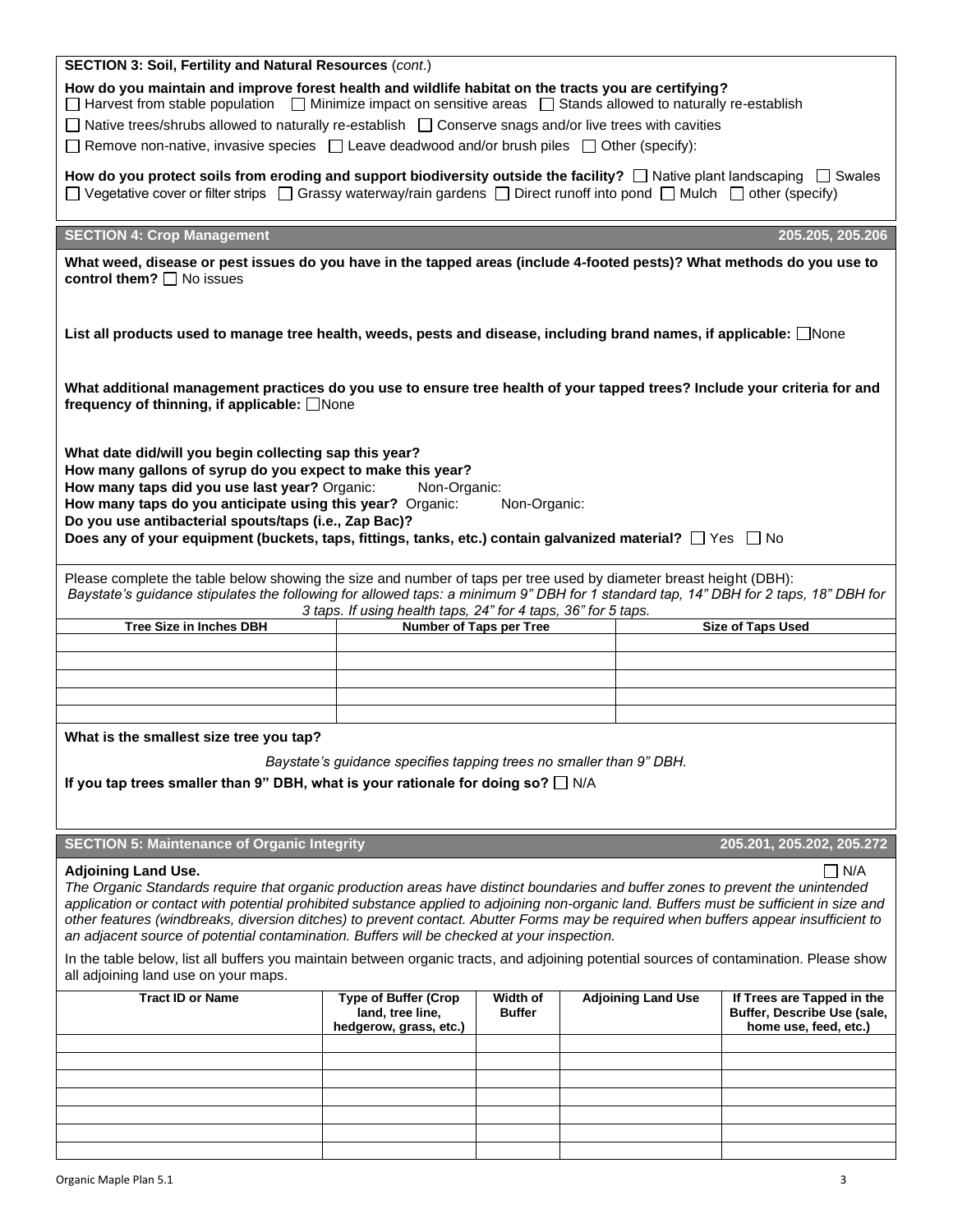| SECTION 3: Soil, Fertility and Natural Resources (cont.)                                                                                                                                                                                                                                                                                                                                                                                                                                                                                        |                                                                                                      |                           |                           |                                                                                    |  |
|-------------------------------------------------------------------------------------------------------------------------------------------------------------------------------------------------------------------------------------------------------------------------------------------------------------------------------------------------------------------------------------------------------------------------------------------------------------------------------------------------------------------------------------------------|------------------------------------------------------------------------------------------------------|---------------------------|---------------------------|------------------------------------------------------------------------------------|--|
| How do you maintain and improve forest health and wildlife habitat on the tracts you are certifying?<br>$\Box$ Harvest from stable population $\Box$ Minimize impact on sensitive areas $\Box$ Stands allowed to naturally re-establish                                                                                                                                                                                                                                                                                                         |                                                                                                      |                           |                           |                                                                                    |  |
| □ Native trees/shrubs allowed to naturally re-establish □ Conserve snags and/or live trees with cavities                                                                                                                                                                                                                                                                                                                                                                                                                                        |                                                                                                      |                           |                           |                                                                                    |  |
|                                                                                                                                                                                                                                                                                                                                                                                                                                                                                                                                                 | Remove non-native, invasive species $\Box$ Leave deadwood and/or brush piles $\Box$ Other (specify): |                           |                           |                                                                                    |  |
| How do you protect soils from eroding and support biodiversity outside the facility? $\Box$ Native plant landscaping $\Box$ Swales<br>$\Box$ Vegetative cover or filter strips $\Box$ Grassy waterway/rain gardens $\Box$ Direct runoff into pond $\Box$ Mulch $\Box$ other (specify)                                                                                                                                                                                                                                                           |                                                                                                      |                           |                           |                                                                                    |  |
|                                                                                                                                                                                                                                                                                                                                                                                                                                                                                                                                                 |                                                                                                      |                           |                           |                                                                                    |  |
| <b>SECTION 4: Crop Management</b>                                                                                                                                                                                                                                                                                                                                                                                                                                                                                                               |                                                                                                      |                           |                           | 205.205, 205.206                                                                   |  |
| What weed, disease or pest issues do you have in the tapped areas (include 4-footed pests)? What methods do you use to                                                                                                                                                                                                                                                                                                                                                                                                                          |                                                                                                      |                           |                           |                                                                                    |  |
| control them? $\Box$ No issues<br>List all products used to manage tree health, weeds, pests and disease, including brand names, if applicable: None                                                                                                                                                                                                                                                                                                                                                                                            |                                                                                                      |                           |                           |                                                                                    |  |
|                                                                                                                                                                                                                                                                                                                                                                                                                                                                                                                                                 |                                                                                                      |                           |                           |                                                                                    |  |
| What additional management practices do you use to ensure tree health of your tapped trees? Include your criteria for and<br>frequency of thinning, if applicable: □None                                                                                                                                                                                                                                                                                                                                                                        |                                                                                                      |                           |                           |                                                                                    |  |
| What date did/will you begin collecting sap this year?<br>How many gallons of syrup do you expect to make this year?<br>How many taps did you use last year? Organic:<br>Non-Organic:<br>How many taps do you anticipate using this year? Organic:<br>Non-Organic:<br>Do you use antibacterial spouts/taps (i.e., Zap Bac)?<br>Does any of your equipment (buckets, taps, fittings, tanks, etc.) contain galvanized material? $\Box$ Yes $\Box$ No                                                                                              |                                                                                                      |                           |                           |                                                                                    |  |
| Please complete the table below showing the size and number of taps per tree used by diameter breast height (DBH):                                                                                                                                                                                                                                                                                                                                                                                                                              |                                                                                                      |                           |                           |                                                                                    |  |
| Baystate's guidance stipulates the following for allowed taps: a minimum 9" DBH for 1 standard tap, 14" DBH for 2 taps, 18" DBH for<br>3 taps. If using health taps, 24" for 4 taps, 36" for 5 taps.                                                                                                                                                                                                                                                                                                                                            |                                                                                                      |                           |                           |                                                                                    |  |
|                                                                                                                                                                                                                                                                                                                                                                                                                                                                                                                                                 |                                                                                                      |                           |                           |                                                                                    |  |
| <b>Tree Size in Inches DBH</b>                                                                                                                                                                                                                                                                                                                                                                                                                                                                                                                  |                                                                                                      | Number of Taps per Tree   |                           | <b>Size of Taps Used</b>                                                           |  |
|                                                                                                                                                                                                                                                                                                                                                                                                                                                                                                                                                 |                                                                                                      |                           |                           |                                                                                    |  |
|                                                                                                                                                                                                                                                                                                                                                                                                                                                                                                                                                 |                                                                                                      |                           |                           |                                                                                    |  |
|                                                                                                                                                                                                                                                                                                                                                                                                                                                                                                                                                 |                                                                                                      |                           |                           |                                                                                    |  |
|                                                                                                                                                                                                                                                                                                                                                                                                                                                                                                                                                 |                                                                                                      |                           |                           |                                                                                    |  |
| What is the smallest size tree you tap?                                                                                                                                                                                                                                                                                                                                                                                                                                                                                                         |                                                                                                      |                           |                           |                                                                                    |  |
|                                                                                                                                                                                                                                                                                                                                                                                                                                                                                                                                                 | Baystate's guidance specifies tapping trees no smaller than 9" DBH.                                  |                           |                           |                                                                                    |  |
| If you tap trees smaller than 9" DBH, what is your rationale for doing so? $\square$ N/A                                                                                                                                                                                                                                                                                                                                                                                                                                                        |                                                                                                      |                           |                           |                                                                                    |  |
|                                                                                                                                                                                                                                                                                                                                                                                                                                                                                                                                                 |                                                                                                      |                           |                           |                                                                                    |  |
|                                                                                                                                                                                                                                                                                                                                                                                                                                                                                                                                                 |                                                                                                      |                           |                           |                                                                                    |  |
| <b>SECTION 5: Maintenance of Organic Integrity</b>                                                                                                                                                                                                                                                                                                                                                                                                                                                                                              |                                                                                                      |                           |                           | 205.201, 205.202, 205.272                                                          |  |
| <b>Adjoining Land Use.</b><br>The Organic Standards require that organic production areas have distinct boundaries and buffer zones to prevent the unintended<br>application or contact with potential prohibited substance applied to adjoining non-organic land. Buffers must be sufficient in size and<br>other features (windbreaks, diversion ditches) to prevent contact. Abutter Forms may be required when buffers appear insufficient to<br>an adjacent source of potential contamination. Buffers will be checked at your inspection. |                                                                                                      |                           |                           | $\Box$ N/A                                                                         |  |
| In the table below, list all buffers you maintain between organic tracts, and adjoining potential sources of contamination. Please show<br>all adjoining land use on your maps.                                                                                                                                                                                                                                                                                                                                                                 |                                                                                                      |                           |                           |                                                                                    |  |
| <b>Tract ID or Name</b>                                                                                                                                                                                                                                                                                                                                                                                                                                                                                                                         | <b>Type of Buffer (Crop</b><br>land, tree line,<br>hedgerow, grass, etc.)                            | Width of<br><b>Buffer</b> | <b>Adjoining Land Use</b> | If Trees are Tapped in the<br>Buffer, Describe Use (sale,<br>home use, feed, etc.) |  |
|                                                                                                                                                                                                                                                                                                                                                                                                                                                                                                                                                 |                                                                                                      |                           |                           |                                                                                    |  |
|                                                                                                                                                                                                                                                                                                                                                                                                                                                                                                                                                 |                                                                                                      |                           |                           |                                                                                    |  |
|                                                                                                                                                                                                                                                                                                                                                                                                                                                                                                                                                 |                                                                                                      |                           |                           |                                                                                    |  |
|                                                                                                                                                                                                                                                                                                                                                                                                                                                                                                                                                 |                                                                                                      |                           |                           |                                                                                    |  |
|                                                                                                                                                                                                                                                                                                                                                                                                                                                                                                                                                 |                                                                                                      |                           |                           |                                                                                    |  |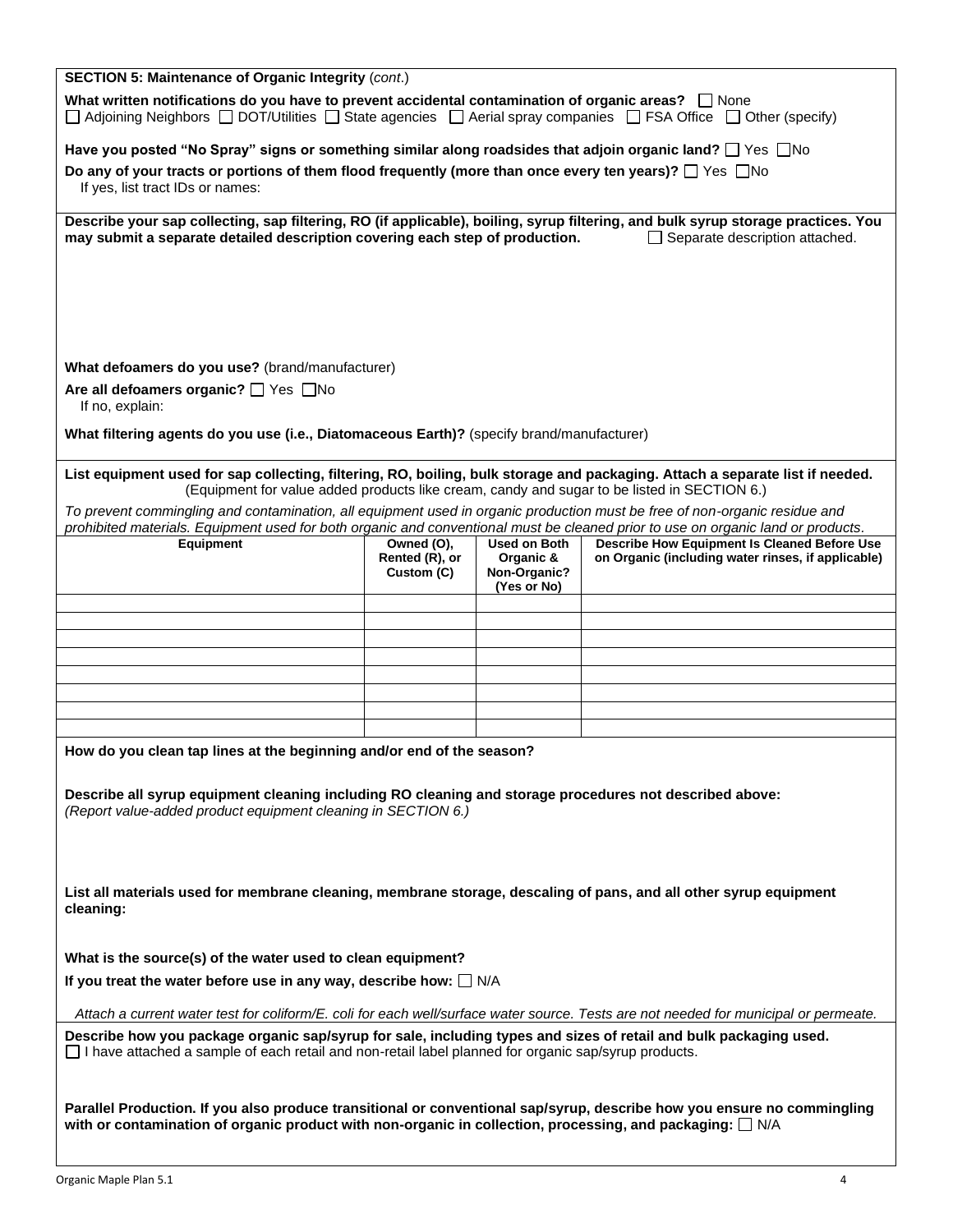| <b>SECTION 5: Maintenance of Organic Integrity (cont.)</b>                                                                                                                                                                                                     |                                                                                                                      |                                          |                                                                                             |  |
|----------------------------------------------------------------------------------------------------------------------------------------------------------------------------------------------------------------------------------------------------------------|----------------------------------------------------------------------------------------------------------------------|------------------------------------------|---------------------------------------------------------------------------------------------|--|
| What written notifications do you have to prevent accidental contamination of organic areas? $\Box$ None<br>$\Box$ Adjoining Neighbors $\Box$ DOT/Utilities $\Box$ State agencies $\Box$ Aerial spray companies $\Box$ FSA Office $\Box$ Other (specify)       |                                                                                                                      |                                          |                                                                                             |  |
|                                                                                                                                                                                                                                                                | Have you posted "No Spray" signs or something similar along roadsides that adjoin organic land? $\Box$ Yes $\Box$ No |                                          |                                                                                             |  |
| Do any of your tracts or portions of them flood frequently (more than once every ten years)? $\Box$ Yes $\Box$ No<br>If yes, list tract IDs or names:                                                                                                          |                                                                                                                      |                                          |                                                                                             |  |
| Describe your sap collecting, sap filtering, RO (if applicable), boiling, syrup filtering, and bulk syrup storage practices. You<br>$\Box$ Separate description attached.<br>may submit a separate detailed description covering each step of production.      |                                                                                                                      |                                          |                                                                                             |  |
|                                                                                                                                                                                                                                                                |                                                                                                                      |                                          |                                                                                             |  |
|                                                                                                                                                                                                                                                                |                                                                                                                      |                                          |                                                                                             |  |
|                                                                                                                                                                                                                                                                |                                                                                                                      |                                          |                                                                                             |  |
|                                                                                                                                                                                                                                                                |                                                                                                                      |                                          |                                                                                             |  |
| What defoamers do you use? (brand/manufacturer)                                                                                                                                                                                                                |                                                                                                                      |                                          |                                                                                             |  |
| Are all defoamers organic? □ Yes □ No<br>If no, explain:                                                                                                                                                                                                       |                                                                                                                      |                                          |                                                                                             |  |
|                                                                                                                                                                                                                                                                |                                                                                                                      |                                          |                                                                                             |  |
| What filtering agents do you use (i.e., Diatomaceous Earth)? (specify brand/manufacturer)                                                                                                                                                                      |                                                                                                                      |                                          |                                                                                             |  |
| List equipment used for sap collecting, filtering, RO, boiling, bulk storage and packaging. Attach a separate list if needed.                                                                                                                                  |                                                                                                                      |                                          |                                                                                             |  |
|                                                                                                                                                                                                                                                                |                                                                                                                      |                                          | (Equipment for value added products like cream, candy and sugar to be listed in SECTION 6.) |  |
| To prevent commingling and contamination, all equipment used in organic production must be free of non-organic residue and<br>prohibited materials. Equipment used for both organic and conventional must be cleaned prior to use on organic land or products. |                                                                                                                      |                                          |                                                                                             |  |
| Equipment                                                                                                                                                                                                                                                      | Owned (O),                                                                                                           | <b>Used on Both</b>                      | <b>Describe How Equipment Is Cleaned Before Use</b>                                         |  |
|                                                                                                                                                                                                                                                                | Rented (R), or<br>Custom (C)                                                                                         | Organic &<br>Non-Organic?<br>(Yes or No) | on Organic (including water rinses, if applicable)                                          |  |
|                                                                                                                                                                                                                                                                |                                                                                                                      |                                          |                                                                                             |  |
|                                                                                                                                                                                                                                                                |                                                                                                                      |                                          |                                                                                             |  |
|                                                                                                                                                                                                                                                                |                                                                                                                      |                                          |                                                                                             |  |
|                                                                                                                                                                                                                                                                |                                                                                                                      |                                          |                                                                                             |  |
|                                                                                                                                                                                                                                                                |                                                                                                                      |                                          |                                                                                             |  |
|                                                                                                                                                                                                                                                                |                                                                                                                      |                                          |                                                                                             |  |
| How do you clean tap lines at the beginning and/or end of the season?                                                                                                                                                                                          |                                                                                                                      |                                          |                                                                                             |  |
| Describe all syrup equipment cleaning including RO cleaning and storage procedures not described above:                                                                                                                                                        |                                                                                                                      |                                          |                                                                                             |  |
| (Report value-added product equipment cleaning in SECTION 6.)                                                                                                                                                                                                  |                                                                                                                      |                                          |                                                                                             |  |
|                                                                                                                                                                                                                                                                |                                                                                                                      |                                          |                                                                                             |  |
|                                                                                                                                                                                                                                                                |                                                                                                                      |                                          |                                                                                             |  |
| List all materials used for membrane cleaning, membrane storage, descaling of pans, and all other syrup equipment<br>cleaning:                                                                                                                                 |                                                                                                                      |                                          |                                                                                             |  |
|                                                                                                                                                                                                                                                                |                                                                                                                      |                                          |                                                                                             |  |
| What is the source(s) of the water used to clean equipment?                                                                                                                                                                                                    |                                                                                                                      |                                          |                                                                                             |  |
| If you treat the water before use in any way, describe how: $\Box$ N/A                                                                                                                                                                                         |                                                                                                                      |                                          |                                                                                             |  |
| Attach a current water test for coliform/E. coli for each well/surface water source. Tests are not needed for municipal or permeate.                                                                                                                           |                                                                                                                      |                                          |                                                                                             |  |
| Describe how you package organic sap/syrup for sale, including types and sizes of retail and bulk packaging used.<br>$\Box$ I have attached a sample of each retail and non-retail label planned for organic sap/syrup products.                               |                                                                                                                      |                                          |                                                                                             |  |
|                                                                                                                                                                                                                                                                |                                                                                                                      |                                          |                                                                                             |  |
| Parallel Production. If you also produce transitional or conventional sap/syrup, describe how you ensure no commingling                                                                                                                                        |                                                                                                                      |                                          |                                                                                             |  |
| with or contamination of organic product with non-organic in collection, processing, and packaging: $\Box$ N/A                                                                                                                                                 |                                                                                                                      |                                          |                                                                                             |  |
|                                                                                                                                                                                                                                                                |                                                                                                                      |                                          |                                                                                             |  |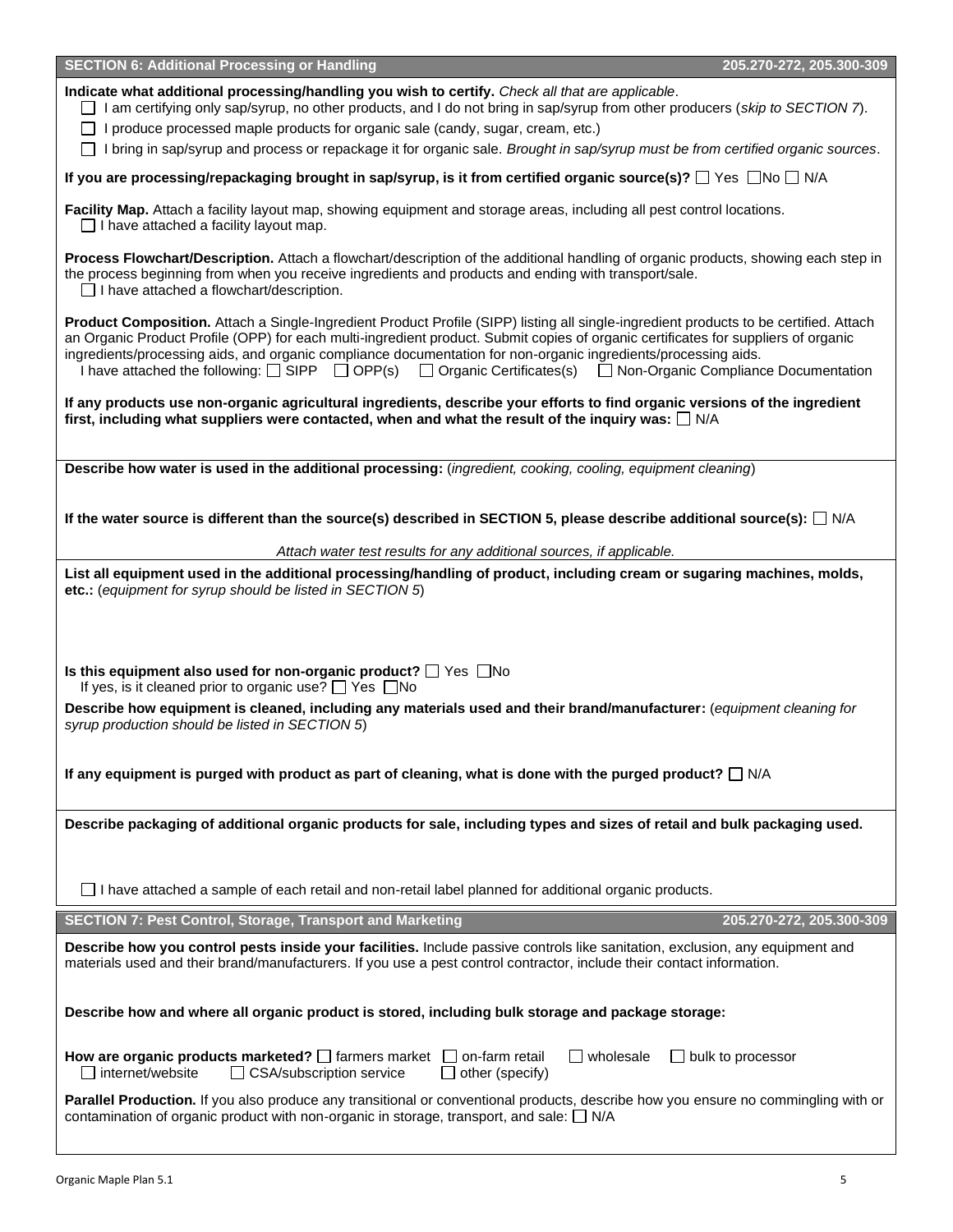| <b>SECTION 6: Additional Processing or Handling</b>                                                                                                                                                                                                                                                                                                                                                                                                                                                                                  | 205.270-272, 205.300-309 |  |  |  |
|--------------------------------------------------------------------------------------------------------------------------------------------------------------------------------------------------------------------------------------------------------------------------------------------------------------------------------------------------------------------------------------------------------------------------------------------------------------------------------------------------------------------------------------|--------------------------|--|--|--|
| Indicate what additional processing/handling you wish to certify. Check all that are applicable.<br>$\Box$ I am certifying only sap/syrup, no other products, and I do not bring in sap/syrup from other producers (skip to SECTION 7).<br>$\Box$ I produce processed maple products for organic sale (candy, sugar, cream, etc.)<br>□ I bring in sap/syrup and process or repackage it for organic sale. Brought in sap/syrup must be from certified organic sources.                                                               |                          |  |  |  |
| If you are processing/repackaging brought in sap/syrup, is it from certified organic source(s)? $\Box$ Yes $\Box$ No $\Box$ N/A                                                                                                                                                                                                                                                                                                                                                                                                      |                          |  |  |  |
| Facility Map. Attach a facility layout map, showing equipment and storage areas, including all pest control locations.<br>$\Box$ I have attached a facility layout map.                                                                                                                                                                                                                                                                                                                                                              |                          |  |  |  |
| Process Flowchart/Description. Attach a flowchart/description of the additional handling of organic products, showing each step in<br>the process beginning from when you receive ingredients and products and ending with transport/sale.<br>$\Box$ I have attached a flowchart/description.                                                                                                                                                                                                                                        |                          |  |  |  |
| Product Composition. Attach a Single-Ingredient Product Profile (SIPP) listing all single-ingredient products to be certified. Attach<br>an Organic Product Profile (OPP) for each multi-ingredient product. Submit copies of organic certificates for suppliers of organic<br>ingredients/processing aids, and organic compliance documentation for non-organic ingredients/processing aids.<br>I have attached the following: $\Box$ SIPP $\Box$ OPP(s) $\Box$ Organic Certificates(s) $\Box$ Non-Organic Compliance Documentation |                          |  |  |  |
| If any products use non-organic agricultural ingredients, describe your efforts to find organic versions of the ingredient<br>first, including what suppliers were contacted, when and what the result of the inquiry was: $\Box$ N/A                                                                                                                                                                                                                                                                                                |                          |  |  |  |
| Describe how water is used in the additional processing: (ingredient, cooking, cooling, equipment cleaning)                                                                                                                                                                                                                                                                                                                                                                                                                          |                          |  |  |  |
| If the water source is different than the source(s) described in SECTION 5, please describe additional source(s): $\Box$ N/A                                                                                                                                                                                                                                                                                                                                                                                                         |                          |  |  |  |
| Attach water test results for any additional sources, if applicable.                                                                                                                                                                                                                                                                                                                                                                                                                                                                 |                          |  |  |  |
| List all equipment used in the additional processing/handling of product, including cream or sugaring machines, molds,<br>etc.: (equipment for syrup should be listed in SECTION 5)                                                                                                                                                                                                                                                                                                                                                  |                          |  |  |  |
| Is this equipment also used for non-organic product? $\Box$ Yes $\Box$ No<br>If yes, is it cleaned prior to organic use? $\Box$ Yes $\Box$ No                                                                                                                                                                                                                                                                                                                                                                                        |                          |  |  |  |
| Describe how equipment is cleaned, including any materials used and their brand/manufacturer: (equipment cleaning for<br>syrup production should be listed in SECTION 5)                                                                                                                                                                                                                                                                                                                                                             |                          |  |  |  |
| If any equipment is purged with product as part of cleaning, what is done with the purged product? $\Box$ N/A                                                                                                                                                                                                                                                                                                                                                                                                                        |                          |  |  |  |
| Describe packaging of additional organic products for sale, including types and sizes of retail and bulk packaging used.                                                                                                                                                                                                                                                                                                                                                                                                             |                          |  |  |  |
| $\Box$ I have attached a sample of each retail and non-retail label planned for additional organic products.                                                                                                                                                                                                                                                                                                                                                                                                                         |                          |  |  |  |
| <b>SECTION 7: Pest Control, Storage, Transport and Marketing</b>                                                                                                                                                                                                                                                                                                                                                                                                                                                                     | 205.270-272, 205.300-309 |  |  |  |
| Describe how you control pests inside your facilities. Include passive controls like sanitation, exclusion, any equipment and<br>materials used and their brand/manufacturers. If you use a pest control contractor, include their contact information.                                                                                                                                                                                                                                                                              |                          |  |  |  |
| Describe how and where all organic product is stored, including bulk storage and package storage:                                                                                                                                                                                                                                                                                                                                                                                                                                    |                          |  |  |  |
| How are organic products marketed? $\Box$ farmers market $\Box$ on-farm retail<br>$\Box$ wholesale<br>□ CSA/subscription service<br>$\Box$ other (specify)<br>internet/website                                                                                                                                                                                                                                                                                                                                                       | $\Box$ bulk to processor |  |  |  |
| Parallel Production. If you also produce any transitional or conventional products, describe how you ensure no commingling with or<br>contamination of organic product with non-organic in storage, transport, and sale: $\Box$ N/A                                                                                                                                                                                                                                                                                                  |                          |  |  |  |
|                                                                                                                                                                                                                                                                                                                                                                                                                                                                                                                                      |                          |  |  |  |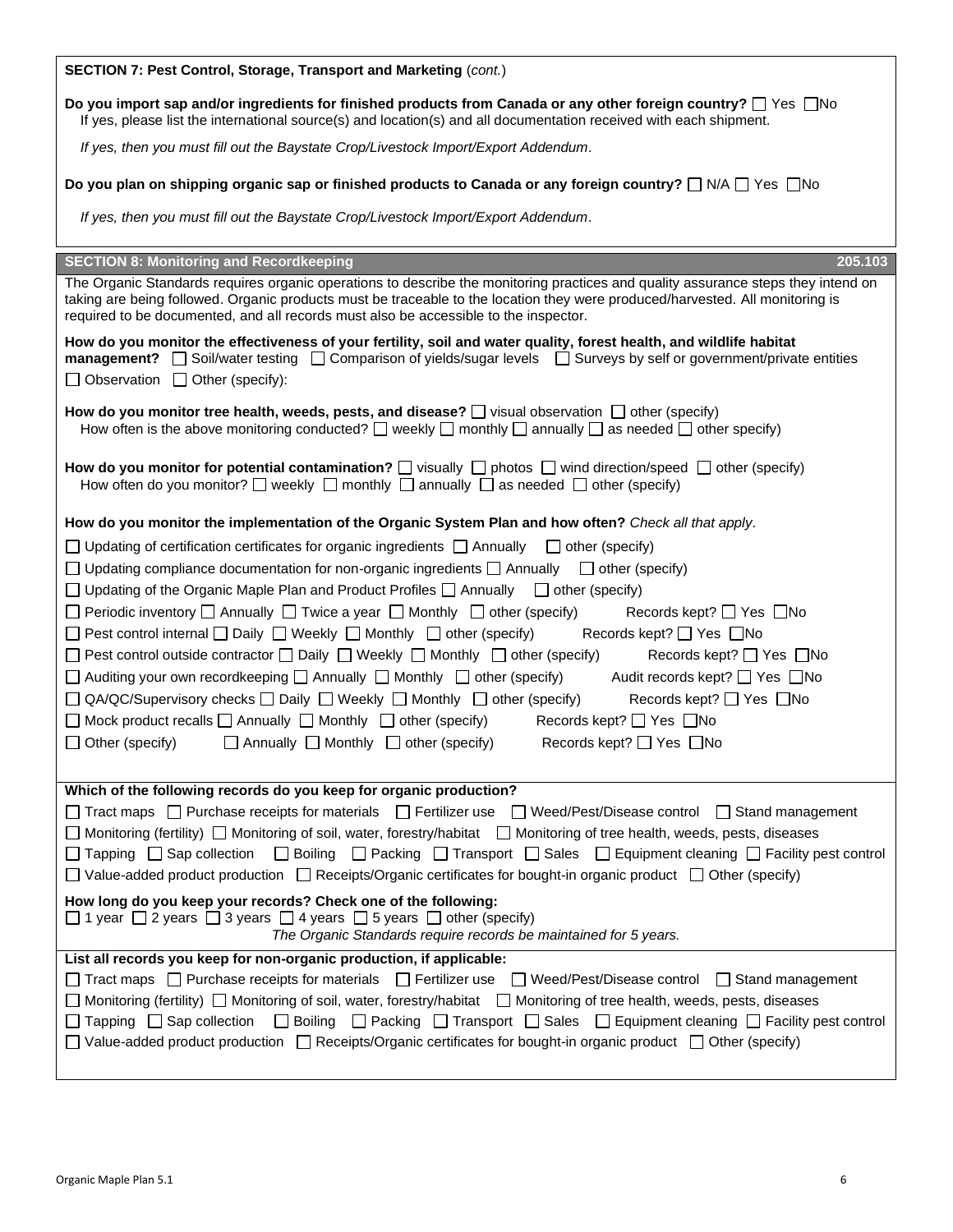| SECTION 7: Pest Control, Storage, Transport and Marketing (cont.)                                                                                                                                                                                                                                                                                                                                                                                                                                                                                                                                                                                                                                                                                                                                                                                                                                               |  |  |  |  |
|-----------------------------------------------------------------------------------------------------------------------------------------------------------------------------------------------------------------------------------------------------------------------------------------------------------------------------------------------------------------------------------------------------------------------------------------------------------------------------------------------------------------------------------------------------------------------------------------------------------------------------------------------------------------------------------------------------------------------------------------------------------------------------------------------------------------------------------------------------------------------------------------------------------------|--|--|--|--|
| Do you import sap and/or ingredients for finished products from Canada or any other foreign country? $\Box$ Yes $\Box$ No<br>If yes, please list the international source(s) and location(s) and all documentation received with each shipment.                                                                                                                                                                                                                                                                                                                                                                                                                                                                                                                                                                                                                                                                 |  |  |  |  |
| If yes, then you must fill out the Baystate Crop/Livestock Import/Export Addendum.                                                                                                                                                                                                                                                                                                                                                                                                                                                                                                                                                                                                                                                                                                                                                                                                                              |  |  |  |  |
| Do you plan on shipping organic sap or finished products to Canada or any foreign country? $\Box$ N/A $\Box$ Yes $\Box$ No                                                                                                                                                                                                                                                                                                                                                                                                                                                                                                                                                                                                                                                                                                                                                                                      |  |  |  |  |
| If yes, then you must fill out the Baystate Crop/Livestock Import/Export Addendum.                                                                                                                                                                                                                                                                                                                                                                                                                                                                                                                                                                                                                                                                                                                                                                                                                              |  |  |  |  |
| <b>SECTION 8: Monitoring and Recordkeeping</b><br>205.103                                                                                                                                                                                                                                                                                                                                                                                                                                                                                                                                                                                                                                                                                                                                                                                                                                                       |  |  |  |  |
| The Organic Standards requires organic operations to describe the monitoring practices and quality assurance steps they intend on<br>taking are being followed. Organic products must be traceable to the location they were produced/harvested. All monitoring is<br>required to be documented, and all records must also be accessible to the inspector.                                                                                                                                                                                                                                                                                                                                                                                                                                                                                                                                                      |  |  |  |  |
| How do you monitor the effectiveness of your fertility, soil and water quality, forest health, and wildlife habitat<br><b>management?</b> $\Box$ Soil/water testing $\Box$ Comparison of yields/sugar levels $\Box$ Surveys by self or government/private entities<br>$\Box$ Observation $\Box$ Other (specify):                                                                                                                                                                                                                                                                                                                                                                                                                                                                                                                                                                                                |  |  |  |  |
| How do you monitor tree health, weeds, pests, and disease? $\Box$ visual observation $\Box$ other (specify)<br>How often is the above monitoring conducted? $\Box$ weekly $\Box$ monthly $\Box$ annually $\Box$ as needed $\Box$ other specify)                                                                                                                                                                                                                                                                                                                                                                                                                                                                                                                                                                                                                                                                 |  |  |  |  |
| How do you monitor for potential contamination? $\square$ visually $\square$ photos $\square$ wind direction/speed $\square$ other (specify)<br>How often do you monitor? $\Box$ weekly $\Box$ monthly $\Box$ annually $\Box$ as needed $\Box$ other (specify)                                                                                                                                                                                                                                                                                                                                                                                                                                                                                                                                                                                                                                                  |  |  |  |  |
| How do you monitor the implementation of the Organic System Plan and how often? Check all that apply.                                                                                                                                                                                                                                                                                                                                                                                                                                                                                                                                                                                                                                                                                                                                                                                                           |  |  |  |  |
| $\Box$ Updating of certification certificates for organic ingredients $\Box$ Annually $\Box$ other (specify)<br>$\Box$ Updating compliance documentation for non-organic ingredients $\Box$ Annually $\Box$ other (specify)<br>$\Box$ Updating of the Organic Maple Plan and Product Profiles $\Box$ Annually $\Box$ other (specify)                                                                                                                                                                                                                                                                                                                                                                                                                                                                                                                                                                            |  |  |  |  |
| $\Box$ Periodic inventory $\Box$ Annually $\Box$ Twice a year $\Box$ Monthly $\Box$ other (specify)<br>Records kept? □ Yes □ No<br>$\Box$ Pest control internal $\Box$ Daily $\Box$ Weekly $\Box$ Monthly $\Box$ other (specify)<br>Records kept? □ Yes □ No<br>$\Box$ Pest control outside contractor $\Box$ Daily $\Box$ Weekly $\Box$ Monthly $\Box$ other (specify)<br>Records kept? □ Yes □ No<br>$\Box$ Auditing your own recordkeeping $\Box$ Annually $\Box$ Monthly $\Box$ other (specify)<br>Audit records kept? □ Yes □ No<br>$\Box$ QA/QC/Supervisory checks $\Box$ Daily $\Box$ Weekly $\Box$ Monthly $\Box$ other (specify)<br>Records kept? □ Yes □ No<br>$\Box$ Mock product recalls $\Box$ Annually $\Box$ Monthly $\Box$ other (specify)<br>Records kept? $\Box$ Yes $\Box$ No<br>$\Box$ Other (specify)<br>$\Box$ Annually $\Box$ Monthly $\Box$ other (specify)<br>Records kept? □ Yes □ No |  |  |  |  |
|                                                                                                                                                                                                                                                                                                                                                                                                                                                                                                                                                                                                                                                                                                                                                                                                                                                                                                                 |  |  |  |  |
| Which of the following records do you keep for organic production?<br>$\Box$ Tract maps $\Box$ Purchase receipts for materials $\Box$ Fertilizer use $\Box$ Weed/Pest/Disease control $\Box$ Stand management<br>□ Monitoring (fertility) □ Monitoring of soil, water, forestry/habitat □ Monitoring of tree health, weeds, pests, diseases<br>□ Boiling □ Packing □ Transport □ Sales □ Equipment cleaning □ Facility pest control<br>$\Box$ Tapping $\Box$ Sap collection<br>□ Value-added product production □ Receipts/Organic certificates for bought-in organic product □ Other (specify)                                                                                                                                                                                                                                                                                                                 |  |  |  |  |
| How long do you keep your records? Check one of the following:<br>$\Box$ 1 year $\Box$ 2 years $\Box$ 3 years $\Box$ 4 years $\Box$ 5 years $\Box$ other (specify)<br>The Organic Standards require records be maintained for 5 years.                                                                                                                                                                                                                                                                                                                                                                                                                                                                                                                                                                                                                                                                          |  |  |  |  |
| List all records you keep for non-organic production, if applicable:<br>□ Tract maps □ Purchase receipts for materials □ Fertilizer use □ Weed/Pest/Disease control □ Stand management<br>□ Monitoring (fertility) □ Monitoring of soil, water, forestry/habitat  □ Monitoring of tree health, weeds, pests, diseases<br>□ Boiling □ Packing □ Transport □ Sales □ Equipment cleaning □ Facility pest control<br>$\Box$ Tapping $\Box$ Sap collection<br>$\Box$ Value-added product production $\Box$ Receipts/Organic certificates for bought-in organic product $\Box$ Other (specify)                                                                                                                                                                                                                                                                                                                        |  |  |  |  |